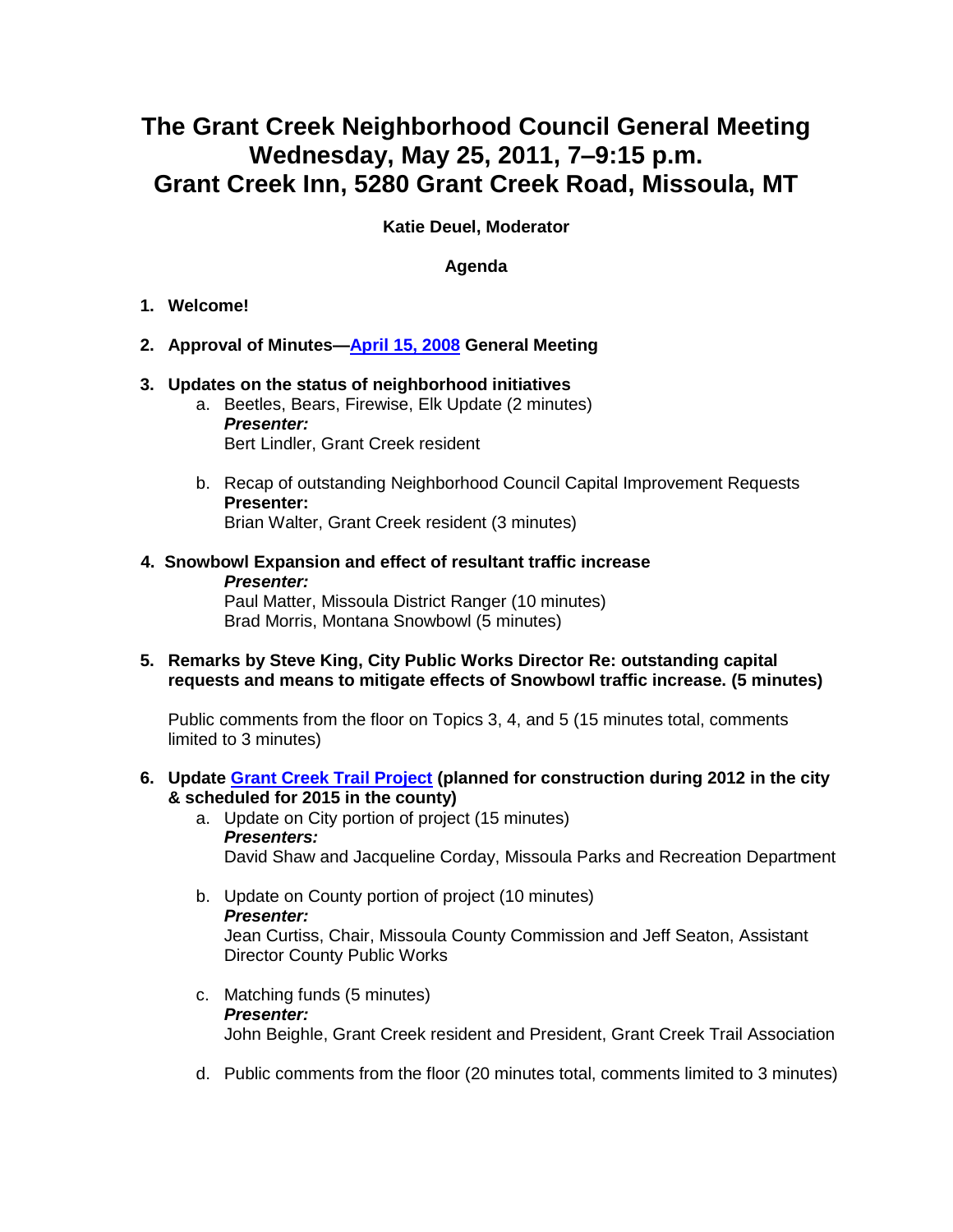## **The Grant Creek Neighborhood Council General Meeting Wednesday, May 25, 2011, 7–9:15 p.m. Grant Creek Inn, 5280 Grant Creek Road, Missoula, MT**

**Katie Deuel, Moderator** 

## **Agenda**

- **1. Welcome!**
- **2. Approval of Minutes[—April 15, 2008](http://www.ci.missoula.mt.us/Archive.aspx?ADID=298) General Meeting**
- **3. Updates on the status of neighborhood initiatives**
	- a. Beetles, Bears, Firewise, Elk Update (2 minutes) *Presenter:* Bert Lindler, Grant Creek resident
	- b. Recap of outstanding Neighborhood Council Capital Improvement Requests **Presenter:** Brian Walter, Grant Creek resident (3 minutes)
- **4. Snowbowl Expansion and effect of resultant traffic increase** *Presenter:* Paul Matter, Missoula District Ranger (10 minutes) Brad Morris, Montana Snowbowl (5 minutes)
- **5. Remarks by Steve King, City Public Works Director Re: outstanding capital requests and means to mitigate effects of Snowbowl traffic increase. (5 minutes)**

Public comments from the floor on Topics 3, 4, and 5 (15 minutes total, comments limited to 3 minutes)

- **6. Update [Grant Creek Trail Project](http://www.ci.missoula.mt.us/index.aspx?nid=180) (planned for construction during 2012 in the city & scheduled for 2015 in the county)**
	- a. Update on City portion of project (15 minutes) *Presenters:* David Shaw and Jacqueline Corday, Missoula Parks and Recreation Department
	- b. Update on County portion of project (10 minutes) *Presenter:* Jean Curtiss, Chair, Missoula County Commission and Jeff Seaton, Assistant Director County Public Works
	- c. Matching funds (5 minutes) *Presenter:* John Beighle, Grant Creek resident and President, Grant Creek Trail Association
	- d. Public comments from the floor (20 minutes total, comments limited to 3 minutes)